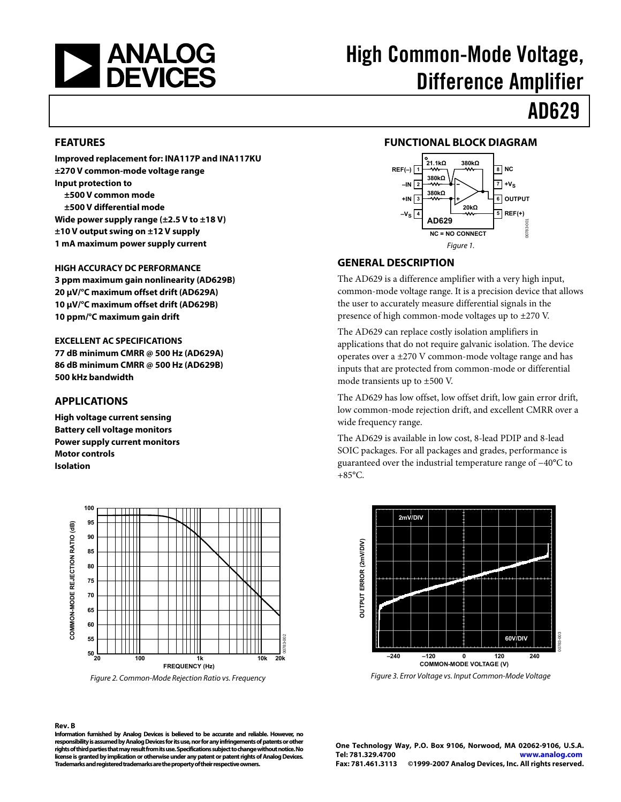<span id="page-0-0"></span>

# High Common-Mode Voltage, Difference Amplifier

# AD629

#### **FEATURES**

**Improved replacement for: INA117P and INA117KU ±270 V common-mode voltage range Input protection to ±500 V common mode ±500 V differential mode Wide power supply range (±2.5 V to ±18 V) ±10 V output swing on ±12 V supply 1 mA maximum power supply current** 

**HIGH ACCURACY DC PERFORMANCE 3 ppm maximum gain nonlinearity (AD629B) 20 μV/°C maximum offset drift (AD629A) 10 μV/°C maximum offset drift (AD629B) 10 ppm/°C maximum gain drift** 

**EXCELLENT AC SPECIFICATIONS 77 dB minimum CMRR @ 500 Hz (AD629A) 86 dB minimum CMRR @ 500 Hz (AD629B) 500 kHz bandwidth** 

#### **APPLICATIONS**

**High voltage current sensing Battery cell voltage monitors Power supply current monitors Motor controls Isolation** 



Figure 2. Common-Mode Rejection Ratio vs. Frequency

#### **Rev. B**

**Information furnished by Analog Devices is believed to be accurate and reliable. However, no responsibility is assumed by Analog Devices for its use, nor for any infringements of patents or other rights of third parties that may result from its use. Specifications subject to change without notice. No license is granted by implication or otherwise under any patent or patent rights of Analog Devices. Trademarks and registered trademarks are the property of their respective owners.** 

#### **FUNCTIONAL BLOCK DIAGRAM 1 REF(–) 2 –IN 3 4 –VS 8 NC 7 +VS 6 OUTPUT 5 REF(+) 21.1kΩ 380kΩ 380kΩ 380kΩ 20kΩ +IN AD629 NC = NO CONNECT**

#### **GENERAL DESCRIPTION**

The AD629 is a difference amplifier with a very high input, common-mode voltage range. It is a precision device that allows the user to accurately measure differential signals in the presence of high common-mode voltages up to ±270 V.

Figure 1.

The AD629 can replace costly isolation amplifiers in applications that do not require galvanic isolation. The device operates over a ±270 V common-mode voltage range and has inputs that are protected from common-mode or differential mode transients up to ±500 V.

The AD629 has low offset, low offset drift, low gain error drift, low common-mode rejection drift, and excellent CMRR over a wide frequency range.

The AD629 is available in low cost, 8-lead PDIP and 8-lead SOIC packages. For all packages and grades, performance is guaranteed over the industrial temperature range of −40°C to  $+85^{\circ}$ C.



**One Technology Way, P.O. Box 9106, Norwood, MA 02062-9106, U.S.A. Tel: 781.329.4700 www.analog.com Fax: 781.461.3113 ©1999-2007 Analog Devices, Inc. All rights reserved.**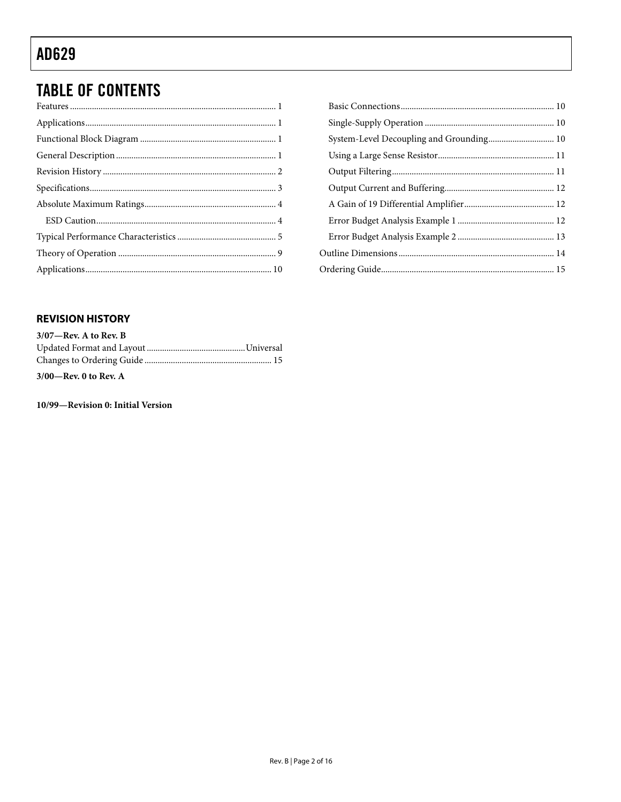### <span id="page-1-0"></span>**TABLE OF CONTENTS**

| System-Level Decoupling and Grounding 10 |
|------------------------------------------|
|                                          |
|                                          |
|                                          |
|                                          |
|                                          |
|                                          |
|                                          |
|                                          |

### **REVISION HISTORY**

| $3/07$ —Rev. A to Rev. B |  |
|--------------------------|--|
|                          |  |
|                          |  |
| $3/00$ —Rev. 0 to Rev. A |  |

10/99-Revision 0: Initial Version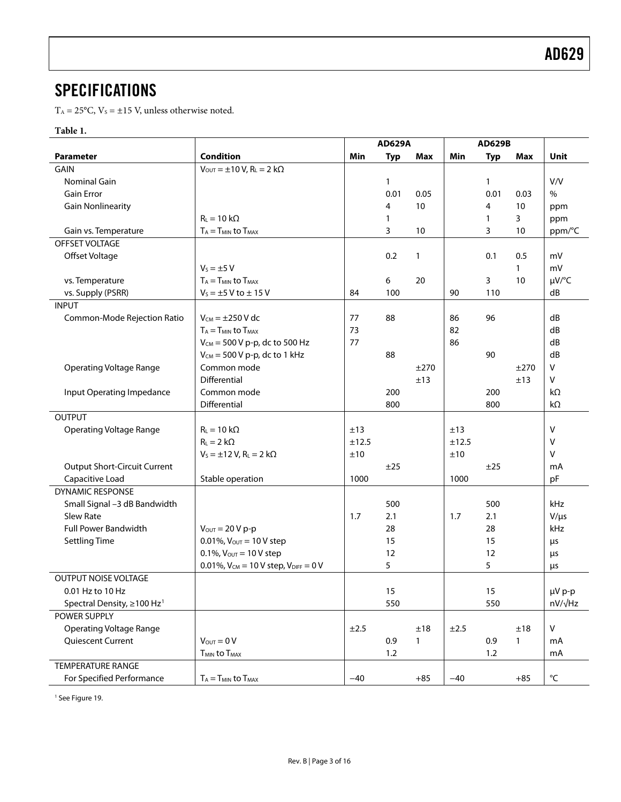### <span id="page-2-0"></span>**SPECIFICATIONS**

 $T_A = 25$ °C,  $V_s = \pm 15$  V, unless otherwise noted.

#### **Table 1.**

|                                        |                                                                       | <b>AD629A</b> |            | <b>AD629B</b> |           |            |              |                         |
|----------------------------------------|-----------------------------------------------------------------------|---------------|------------|---------------|-----------|------------|--------------|-------------------------|
| <b>Parameter</b>                       | <b>Condition</b>                                                      | Min           | <b>Typ</b> | Max           | Min       | <b>Typ</b> | Max          | Unit                    |
| GAIN                                   | $V_{\text{OUT}} = \pm 10 \text{ V}, R_{\text{L}} = 2 \text{ k}\Omega$ |               |            |               |           |            |              |                         |
| Nominal Gain                           |                                                                       |               | 1          |               |           | 1          |              | V/V                     |
| <b>Gain Error</b>                      |                                                                       |               | 0.01       | 0.05          |           | 0.01       | 0.03         | $\%$                    |
| <b>Gain Nonlinearity</b>               |                                                                       |               | 4          | 10            |           | 4          | 10           | ppm                     |
|                                        | $R_L = 10 k\Omega$                                                    |               | 1          |               |           | 1          | 3            | ppm                     |
| Gain vs. Temperature                   | $T_A = T_{MIN}$ to $T_{MAX}$                                          |               | 3          | 10            |           | 3          | 10           | ppm/°C                  |
| OFFSET VOLTAGE                         |                                                                       |               |            |               |           |            |              |                         |
| Offset Voltage                         |                                                                       |               | 0.2        | $\mathbf{1}$  |           | 0.1        | 0.5          | mV                      |
|                                        | $V_s = \pm 5 V$                                                       |               |            |               |           |            | $\mathbf{1}$ | mV                      |
| vs. Temperature                        | $T_A = T_{MIN}$ to $T_{MAX}$                                          |               | 6          | 20            |           | 3          | 10           | µV/°C                   |
| vs. Supply (PSRR)                      | $V_5 = \pm 5$ V to $\pm$ 15 V                                         | 84            | 100        |               | 90        | 110        |              | dB                      |
| <b>INPUT</b>                           |                                                                       |               |            |               |           |            |              |                         |
| Common-Mode Rejection Ratio            | $V_{CM} = \pm 250$ V dc                                               | 77            | 88         |               | 86        | 96         |              | dB                      |
|                                        | $T_A = T_{MIN}$ to $T_{MAX}$                                          | 73            |            |               | 82        |            |              | dB                      |
|                                        | $V_{CM}$ = 500 V p-p, dc to 500 Hz                                    | 77            |            |               | 86        |            |              | dB                      |
|                                        | $V_{CM}$ = 500 V p-p, dc to 1 kHz                                     |               | 88         |               |           | 90         |              | dB                      |
| <b>Operating Voltage Range</b>         | Common mode                                                           |               |            | ±270          |           |            | ±270         | v                       |
|                                        | Differential                                                          |               |            | ±13           |           |            | ±13          | v                       |
| Input Operating Impedance              | Common mode                                                           |               | 200        |               |           | 200        |              | $k\Omega$               |
|                                        | Differential                                                          |               | 800        |               |           | 800        |              | $k\Omega$               |
| <b>OUTPUT</b>                          |                                                                       |               |            |               |           |            |              |                         |
| <b>Operating Voltage Range</b>         | $R_L = 10 k\Omega$                                                    | ±13           |            |               | ±13       |            |              | V                       |
|                                        | $R_L = 2 k\Omega$                                                     | ±12.5         |            |               | ±12.5     |            |              | v                       |
|                                        | $V_s = \pm 12$ V, R <sub>L</sub> = 2 k $\Omega$                       | ±10           |            |               | ±10       |            |              | v                       |
| <b>Output Short-Circuit Current</b>    |                                                                       |               | ±25        |               |           | ±25        |              | mA                      |
| Capacitive Load                        | Stable operation                                                      | 1000          |            |               | 1000      |            |              | pF                      |
| <b>DYNAMIC RESPONSE</b>                |                                                                       |               |            |               |           |            |              |                         |
| Small Signal -3 dB Bandwidth           |                                                                       |               | 500        |               |           | 500        |              | kHz                     |
| <b>Slew Rate</b>                       |                                                                       | 1.7           | 2.1        |               | 1.7       | 2.1        |              | $V/\mu s$               |
| <b>Full Power Bandwidth</b>            | $V_{\text{OUT}} = 20 V p-p$                                           |               | 28         |               |           | 28         |              | kHz                     |
| <b>Settling Time</b>                   | 0.01%, $V_{\text{OUT}} = 10 V$ step                                   |               | 15         |               |           | 15         |              | μs                      |
|                                        | 0.1%, $V_{\text{OUT}} = 10 V$ step                                    |               | 12         |               |           | 12         |              | μs                      |
|                                        | 0.01%, $V_{CM} = 10 V$ step, $V_{DIFF} = 0 V$                         |               | 5          |               |           | 5          |              | μs                      |
| OUTPUT NOISE VOLTAGE                   |                                                                       |               |            |               |           |            |              |                         |
| 0.01 Hz to 10 Hz                       |                                                                       |               | 15         |               |           | 15         |              | µV p-p                  |
| Spectral Density, ≥100 Hz <sup>1</sup> |                                                                       |               | 550        |               |           | 550        |              | nV/√Hz                  |
| POWER SUPPLY                           |                                                                       |               |            |               |           |            |              |                         |
| <b>Operating Voltage Range</b>         |                                                                       | $\pm 2.5$     |            | ±18           | $\pm 2.5$ |            | ±18          | V                       |
| Quiescent Current                      | $V_{\text{OUT}} = 0 V$                                                |               | 0.9        | $\mathbf{1}$  |           | 0.9        | $\mathbf{1}$ | mA                      |
|                                        | <b>TMIN to TMAX</b>                                                   |               | 1.2        |               |           | 1.2        |              | mA                      |
| <b>TEMPERATURE RANGE</b>               |                                                                       |               |            |               |           |            |              |                         |
| For Specified Performance              | $T_A = T_{MIN}$ to $T_{MAX}$                                          | $-40$         |            | $+85$         | $-40$     |            | $+85$        | $^{\circ}\!{\mathsf C}$ |

<sup>1</sup> See Figure 19.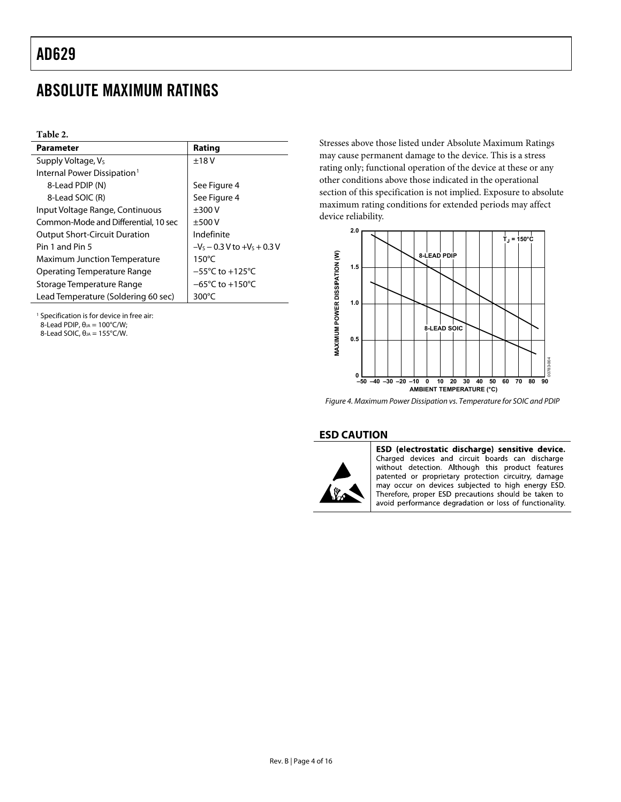### <span id="page-3-0"></span>ABSOLUTE MAXIMUM RATINGS

**Table 2.** 

| Parameter                               | Rating                              |  |  |
|-----------------------------------------|-------------------------------------|--|--|
| Supply Voltage, V <sub>s</sub>          | ±18V                                |  |  |
| Internal Power Dissipation <sup>1</sup> |                                     |  |  |
| 8-Lead PDIP (N)                         | See Figure 4                        |  |  |
| 8-Lead SOIC (R)                         | See Figure 4                        |  |  |
| Input Voltage Range, Continuous         | $+300V$                             |  |  |
| Common-Mode and Differential, 10 sec    | $+500V$                             |  |  |
| <b>Output Short-Circuit Duration</b>    | Indefinite                          |  |  |
| Pin 1 and Pin 5                         | $-Vs - 0.3 V$ to $+Vs + 0.3 V$      |  |  |
| <b>Maximum Junction Temperature</b>     | $150^{\circ}$ C                     |  |  |
| Operating Temperature Range             | $-55^{\circ}$ C to $+125^{\circ}$ C |  |  |
| Storage Temperature Range               | $-65^{\circ}$ C to $+150^{\circ}$ C |  |  |
| Lead Temperature (Soldering 60 sec)     | 300 $\degree$ C                     |  |  |

<span id="page-3-1"></span>1 Specification is for device in free air: 8-Lead PDIP,  $θ_{JA} = 100°C/W;$ 

<span id="page-3-2"></span>8-Lead SOIC,  $θ<sub>JA</sub> = 155°C/W$ .

Stresses above those listed under Absolute Maximum Ratings may cause permanent damage to the device. This is a stress rating only; functional operation of the device at these or any other conditions above those indicated in the operational section of this specification is not implied. Exposure to absolute maximum rating conditions for extended periods may affect device reliability.



Figure 4. Maximum Power Dissipation vs. Temperature for SOIC and PDIP

#### **ESD CAUTION**



ESD (electrostatic discharge) sensitive device. Charged devices and circuit boards can discharge without detection. Although this product features patented or proprietary protection circuitry, damage may occur on devices subjected to high energy ESD. Therefore, proper ESD precautions should be taken to avoid performance degradation or loss of functionality.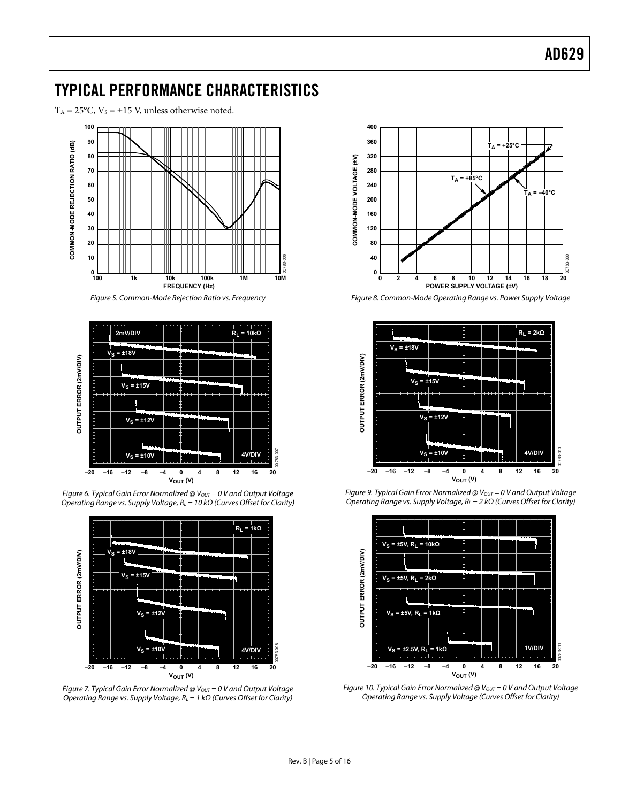### <span id="page-4-0"></span>TYPICAL PERFORMANCE CHARACTERISTICS

 $T_A = 25^{\circ}$ C,  $V_s = \pm 15$  V, unless otherwise noted.



Figure 5. Common-Mode Rejection Ratio vs. Frequency



Figure 6. Typical Gain Error Normalized @  $V_{OUT} = 0$  V and Output Voltage Operating Range vs. Supply Voltage,  $R<sub>L</sub> = 10$  kΩ (Curves Offset for Clarity)



Figure 7. Typical Gain Error Normalized @  $V_{OUT} = 0$  V and Output Voltage Operating Range vs. Supply Voltage,  $R_L = 1 k\Omega$  (Curves Offset for Clarity)



Figure 8. Common-Mode Operating Range vs. Power Supply Voltage





Figure 9. Typical Gain Error Normalized @  $V_{OUT} = 0$  V and Output Voltage Operating Range vs. Supply Voltage,  $R_L = 2 k\Omega$  (Curves Offset for Clarity)

Figure 10. Typical Gain Error Normalized @  $V_{OUT} = 0$  V and Output Voltage Operating Range vs. Supply Voltage (Curves Offset for Clarity)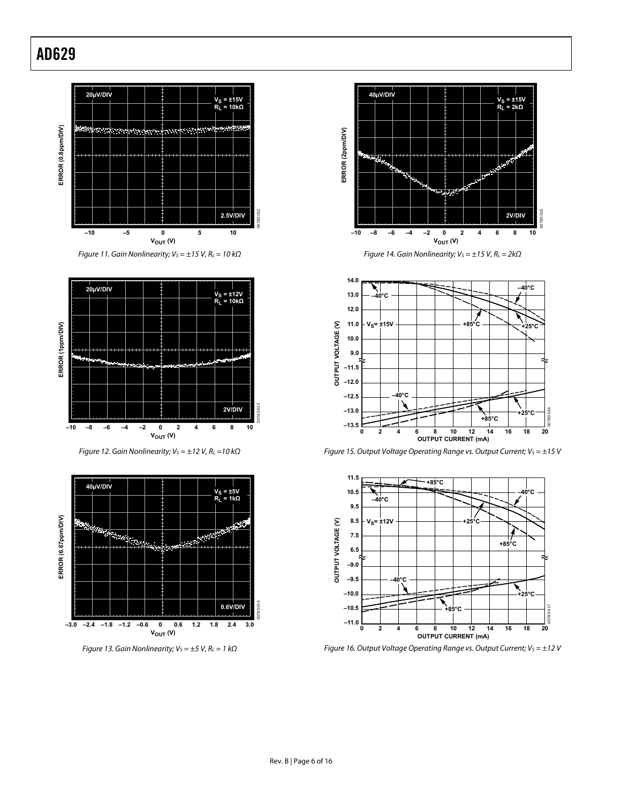

Figure 11. Gain Nonlinearity;  $V_S = \pm 15$  V,  $R_L = 10$  k $\Omega$ 



Figure 12. Gain Nonlinearity;  $V_S = \pm 12$  V,  $R_L = 10$  k $\Omega$ 

<span id="page-5-0"></span>





Figure 14. Gain Nonlinearity;  $V_S = \pm 15$  V,  $R_L = 2k\Omega$ 



Figure 15. Output Voltage Operating Range vs. Output Current;  $V_s = \pm 15$  V



Figure 16. Output Voltage Operating Range vs. Output Current;  $V_s = \pm 12$  V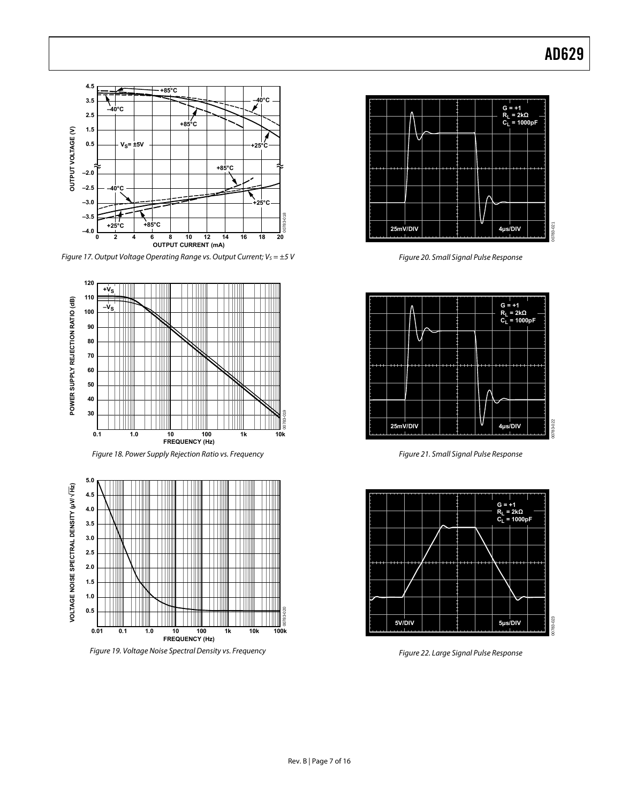<span id="page-6-0"></span>

Figure 17. Output Voltage Operating Range vs. Output Current;  $V_s = \pm 5$  V







Figure 19. Voltage Noise Spectral Density vs. Frequency



Figure 20. Small Signal Pulse Response



Figure 21. Small Signal Pulse Response



Figure 22. Large Signal Pulse Response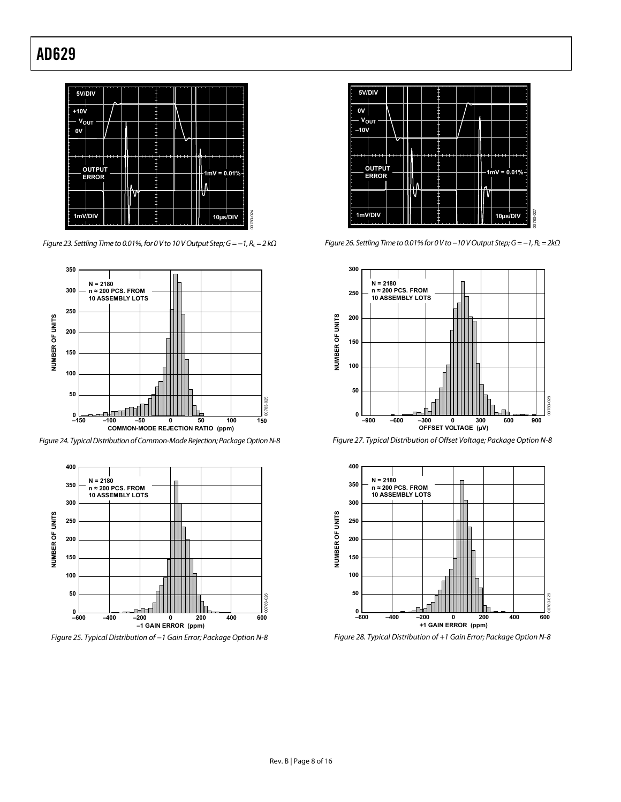

Figure 23. Settling Time to 0.01%, for 0 V to 10 V Output Step;  $G = -1$ ,  $R_L = 2$  k $\Omega$ 



Figure 24. Typical Distribution of Common-Mode Rejection; Package Option N-8



Figure 25. Typical Distribution of −1 Gain Error; Package Option N-8



Figure 26. Settling Time to 0.01% for 0 V to −10 V Output Step; G = −1, R<sub>L</sub> = 2kΩ



Figure 27. Typical Distribution of Offset Voltage; Package Option N-8



Figure 28. Typical Distribution of +1 Gain Error; Package Option N-8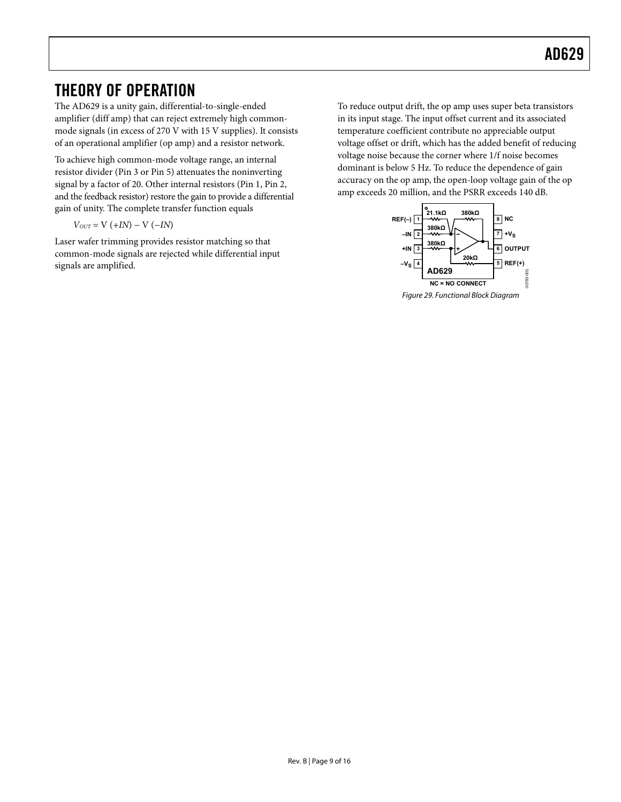### <span id="page-8-0"></span>THEORY OF OPERATION

The AD629 is a unity gain, differential-to-single-ended amplifier (diff amp) that can reject extremely high commonmode signals (in excess of 270 V with 15 V supplies). It consists of an operational amplifier (op amp) and a resistor network.

To achieve high common-mode voltage range, an internal resistor divider (Pin 3 or Pin 5) attenuates the noninverting signal by a factor of 20. Other internal resistors (Pin 1, Pin 2, and the feedback resistor) restore the gain to provide a differential gain of unity. The complete transfer function equals

$$
V_{OUT} = \mathrm{V}~(+I N)-\mathrm{V}~(-I N)
$$

Laser wafer trimming provides resistor matching so that common-mode signals are rejected while differential input signals are amplified.

To reduce output drift, the op amp uses super beta transistors in its input stage. The input offset current and its associated temperature coefficient contribute no appreciable output voltage offset or drift, which has the added benefit of reducing voltage noise because the corner where 1/f noise becomes dominant is below 5 Hz. To reduce the dependence of gain accuracy on the op amp, the open-loop voltage gain of the op amp exceeds 20 million, and the PSRR exceeds 140 dB.



Rev. B | Page 9 of 16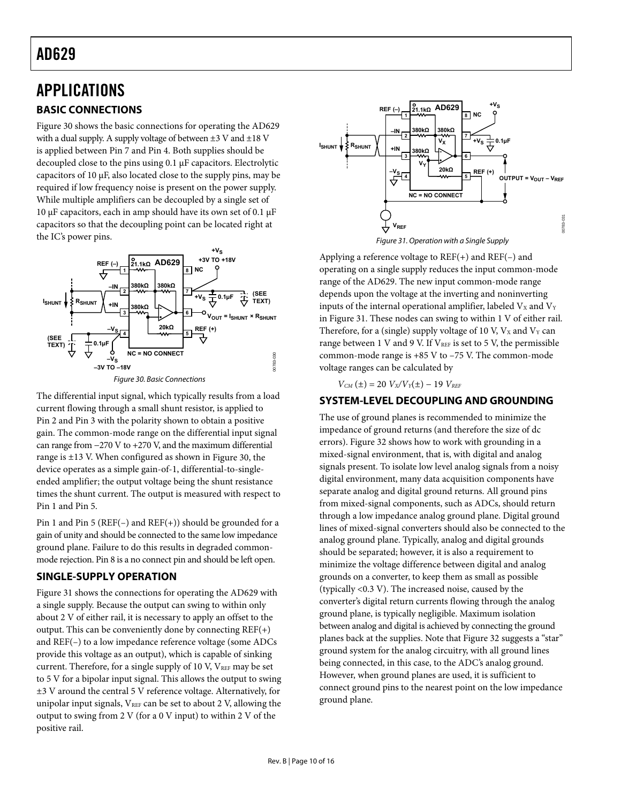### <span id="page-9-0"></span>APPLICATIONS **BASIC CONNECTIONS**

[Figure 30](#page-9-1) shows the basic connections for operating the AD629 with a dual supply. A supply voltage of between  $\pm 3$  V and  $\pm 18$  V is applied between Pin 7 and Pin 4. Both supplies should be decoupled close to the pins using 0.1 μF capacitors. Electrolytic capacitors of 10 μF, also located close to the supply pins, may be required if low frequency noise is present on the power supply. While multiple amplifiers can be decoupled by a single set of 10 μF capacitors, each in amp should have its own set of 0.1 μF capacitors so that the decoupling point can be located right at the IC's power pins.

<span id="page-9-2"></span>

<span id="page-9-1"></span>The differential input signal, which typically results from a load current flowing through a small shunt resistor, is applied to Pin 2 and Pin 3 with the polarity shown to obtain a positive gain. The common-mode range on the differential input signal can range from −270 V to +270 V, and the maximum differential range is ±13 V. When configured as shown in [Figure 30](#page-9-1), the device operates as a simple gain-of-1, differential-to-singleended amplifier; the output voltage being the shunt resistance times the shunt current. The output is measured with respect to Pin 1 and Pin 5.

Pin 1 and Pin 5 ( $REF(-)$  and  $REF(+)$ ) should be grounded for a gain of unity and should be connected to the same low impedance ground plane. Failure to do this results in degraded commonmode rejection. Pin 8 is a no connect pin and should be left open.

#### **SINGLE-SUPPLY OPERATION**

[Figure 31](#page-9-2) shows the connections for operating the AD629 with a single supply. Because the output can swing to within only about 2 V of either rail, it is necessary to apply an offset to the output. This can be conveniently done by connecting REF(+) and REF(–) to a low impedance reference voltage (some ADCs provide this voltage as an output), which is capable of sinking current. Therefore, for a single supply of 10 V, VREF may be set to 5 V for a bipolar input signal. This allows the output to swing ±3 V around the central 5 V reference voltage. Alternatively, for unipolar input signals,  $V_{REF}$  can be set to about 2 V, allowing the output to swing from 2 V (for a 0 V input) to within 2 V of the positive rail.



Figure 31. Operation with a Single Supply

Applying a reference voltage to  $REF(+)$  and  $REF(-)$  and operating on a single supply reduces the input common-mode range of the AD629. The new input common-mode range depends upon the voltage at the inverting and noninverting inputs of the internal operational amplifier, labeled  $V_x$  and  $V_y$ in [Figure 31](#page-9-2). These nodes can swing to within 1 V of either rail. Therefore, for a (single) supply voltage of 10 V,  $V_x$  and  $V_y$  can range between 1 V and 9 V. If  $V_{REF}$  is set to 5 V, the permissible common-mode range is +85 V to –75 V. The common-mode voltage ranges can be calculated by

 $V_{CM}(\pm) = 20 V_X/V_Y(\pm) - 19 V_{REF}$ 

#### **SYSTEM-LEVEL DECOUPLING AND GROUNDING**

The use of ground planes is recommended to minimize the impedance of ground returns (and therefore the size of dc errors). [Figure 32](#page-10-1) shows how to work with grounding in a mixed-signal environment, that is, with digital and analog signals present. To isolate low level analog signals from a noisy digital environment, many data acquisition components have separate analog and digital ground returns. All ground pins from mixed-signal components, such as ADCs, should return through a low impedance analog ground plane. Digital ground lines of mixed-signal converters should also be connected to the analog ground plane. Typically, analog and digital grounds should be separated; however, it is also a requirement to minimize the voltage difference between digital and analog grounds on a converter, to keep them as small as possible (typically <0.3 V). The increased noise, caused by the converter's digital return currents flowing through the analog ground plane, is typically negligible. Maximum isolation between analog and digital is achieved by connecting the ground planes back at the supplies. Note that [Figure 32](#page-10-1) suggests a "star" ground system for the analog circuitry, with all ground lines being connected, in this case, to the ADC's analog ground. However, when ground planes are used, it is sufficient to connect ground pins to the nearest point on the low impedance ground plane.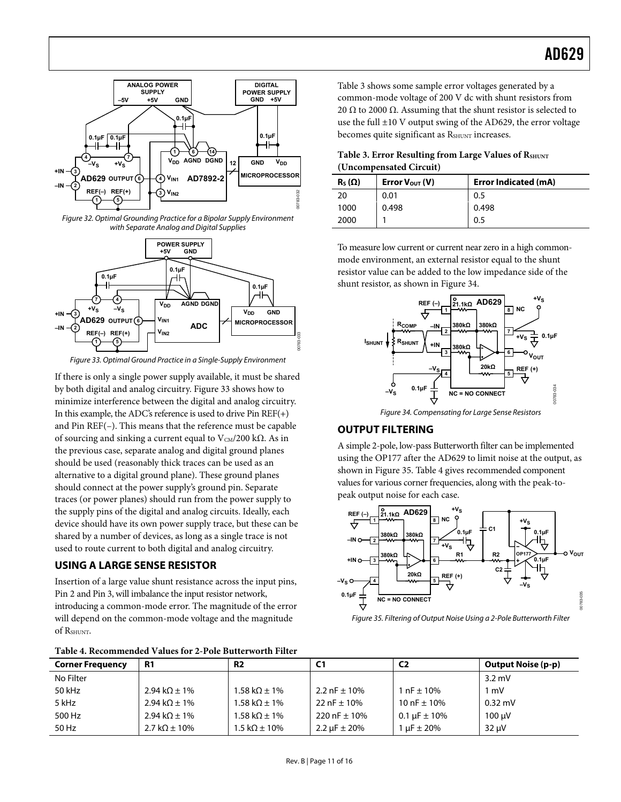<span id="page-10-0"></span>

<span id="page-10-3"></span>Figure 32. Optimal Grounding Practice for a Bipolar Supply Environment with Separate Analog and Digital Supplies

<span id="page-10-1"></span>

Figure 33. Optimal Ground Practice in a Single-Supply Environment

<span id="page-10-4"></span><span id="page-10-2"></span>If there is only a single power supply available, it must be shared by both digital and analog circuitry. [Figure 33](#page-10-2) shows how to minimize interference between the digital and analog circuitry. In this example, the ADC's reference is used to drive Pin  $REF(+)$ and Pin REF(–). This means that the reference must be capable of sourcing and sinking a current equal to  $V_{CM}/200 \text{ k}\Omega$ . As in the previous case, separate analog and digital ground planes should be used (reasonably thick traces can be used as an alternative to a digital ground plane). These ground planes should connect at the power supply's ground pin. Separate traces (or power planes) should run from the power supply to the supply pins of the digital and analog circuits. Ideally, each device should have its own power supply trace, but these can be shared by a number of devices, as long as a single trace is not used to route current to both digital and analog circuitry.

#### **USING A LARGE SENSE RESISTOR**

Insertion of a large value shunt resistance across the input pins, Pin 2 and Pin 3, will imbalance the input resistor network, introducing a common-mode error. The magnitude of the error will depend on the common-mode voltage and the magnitude of RSHUNT.

<span id="page-10-5"></span>**Table 4. Recommended Values for 2-Pole Butterworth Filter** 

00783-033 **REF (–)**  $+V<sub>S</sub>$ **+VS VOUT NC 8 –IN +IN RSHUNT Rcom ISHUNT 0.1µF 21.1kΩ 380kΩ 380kΩ 380kΩ AD629 1 2 3 7 6**

common-mode voltage of 200 V dc with shunt resistors from 20  $\Omega$  to 2000  $\Omega$ . Assuming that the shunt resistor is selected to use the full ±10 V output swing of the AD629, the error voltage becomes quite significant as RSHUNT increases.

**Table 3. Error Resulting from Large Values of RSHUNT (Uncompensated Circuit)** 

[Table 3](#page-10-3) shows some sample error voltages generated by a

| $R_S(\Omega)$ | Error $V_{\text{OUT}}(V)$ | <b>Error Indicated (mA)</b> |
|---------------|---------------------------|-----------------------------|
| 20            | 0.01                      | 0.5                         |
| 1000          | 0.498                     | 0.498                       |
| 2000          |                           | 0.5                         |

To measure low current or current near zero in a high commonmode environment, an external resistor equal to the shunt resistor value can be added to the low impedance side of the shunt resistor, as shown in [Figure 34](#page-10-4).



Figure 34. Compensating for Large Sense Resistors

#### **OUTPUT FILTERING**

A simple 2-pole, low-pass Butterworth filter can be implemented using the OP177 after the AD629 to limit noise at the output, as shown in [Figure 35](#page-10-5). [Table 4](#page-10-6) gives recommended component values for various corner frequencies, along with the peak-topeak output noise for each case.



Figure 35. Filtering of Output Noise Using a 2-Pole Butterworth Filter

<span id="page-10-6"></span>

| <b>Corner Frequency</b> | R <sub>1</sub>                 | <b>R2</b>                      | C1                    | C <sub>2</sub>        | <b>Output Noise (p-p)</b> |
|-------------------------|--------------------------------|--------------------------------|-----------------------|-----------------------|---------------------------|
| No Filter               |                                |                                |                       |                       | $3.2 \text{ mV}$          |
| 50 kHz                  | 2.94 kΩ $\pm$ 1%               | 1.58 k $\Omega$ ± 1%           | 2.2 nF $\pm$ 10%      | 1 nF $\pm$ 10%        | l mV                      |
| 5 kHz                   | 2.94 k $\Omega$ ± 1%           | 1.58 k $\Omega$ ± 1%           | 22 nF $\pm$ 10%       | 10 nF $\pm$ 10%       | $0.32 \text{ mV}$         |
| 500 Hz                  | 2.94 k $\Omega$ ± 1%           | 1.58 k $\Omega$ ± 1%           | 220 nF $\pm$ 10%      | 0.1 $\mu$ F $\pm$ 10% | 100 uV                    |
| 50 Hz                   | $2.7 \text{ k}\Omega \pm 10\%$ | $1.5 \text{ k}\Omega \pm 10\%$ | 2.2 $\mu$ F $\pm$ 20% | $\mu$ F $\pm$ 20%     | $32 \mu V$                |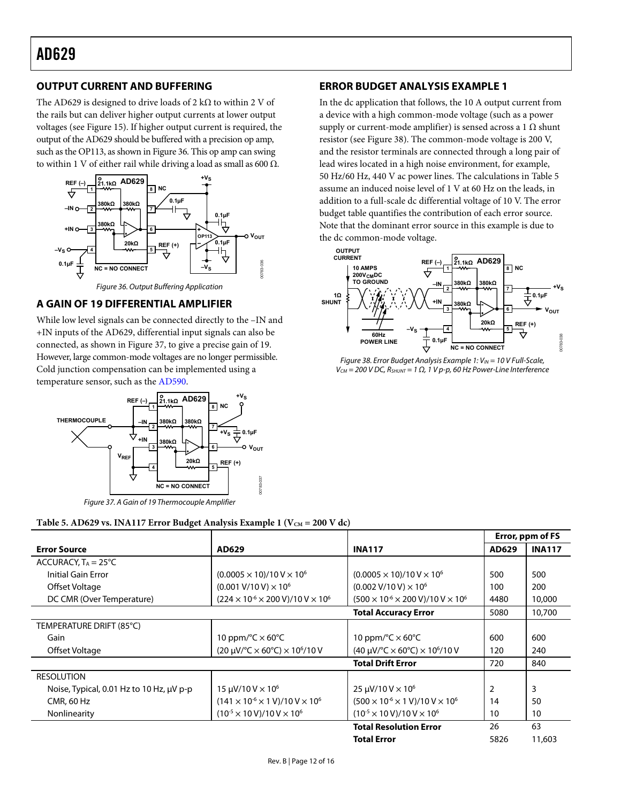### <span id="page-11-0"></span>**OUTPUT CURRENT AND BUFFERING**

The AD629 is designed to drive loads of 2 k $\Omega$  to within 2 V of the rails but can deliver higher output currents at lower output voltages (see [Figure 15](#page-5-0)). If higher output current is required, the output of the AD629 should be buffered with a precision op amp, such as the OP113, as shown in [Figure 36](#page-11-1). This op amp can swing to within 1 V of either rail while driving a load as small as 600 Ω.



### <span id="page-11-1"></span>**A GAIN OF 19 DIFFERENTIAL AMPLIFIER**

<span id="page-11-3"></span>While low level signals can be connected directly to the –IN and +IN inputs of the AD629, differential input signals can also be connected, as shown in [Figure 37,](#page-11-2) to give a precise gain of 19. However, large common-mode voltages are no longer permissible. Cold junction compensation can be implemented using a temperature sensor, such as the [AD590.](http://www.analog.com/AD590)



Figure 37. A Gain of 19 Thermocouple Amplifier

### **ERROR BUDGET ANALYSIS EXAMPLE 1**

In the dc application that follows, the 10 A output current from a device with a high common-mode voltage (such as a power supply or current-mode amplifier) is sensed across a 1  $\Omega$  shunt resistor (see [Figure 38\)](#page-11-3). The common-mode voltage is 200 V, and the resistor terminals are connected through a long pair of lead wires located in a high noise environment, for example, 50 Hz/60 Hz, 440 V ac power lines. The calculations in [Table 5](#page-11-4) assume an induced noise level of 1 V at 60 Hz on the leads, in addition to a full-scale dc differential voltage of 10 V. The error budget table quantifies the contribution of each error source. Note that the dominant error source in this example is due to the dc common-mode voltage.



Figure 38. Error Budget Analysis Example 1:  $V_{IN}$  = 10 V Full-Scale,  $V_{CM}$  = 200 V DC,  $R_{SHUNT}$  = 1 Ω, 1 V p-p, 60 Hz Power-Line Interference

<span id="page-11-2"></span>Table 5. AD629 vs. INA117 Error Budget Analysis Example 1 (V<sub>CM</sub> = 200 V dc)

<span id="page-11-4"></span>

|                                          |                                                                        |                                                                        |       | Error, ppm of FS |
|------------------------------------------|------------------------------------------------------------------------|------------------------------------------------------------------------|-------|------------------|
| <b>Error Source</b>                      | AD629                                                                  | <b>INA117</b>                                                          | AD629 | <b>INA117</b>    |
| ACCURACY, $T_A = 25^{\circ}C$            |                                                                        |                                                                        |       |                  |
| Initial Gain Error                       | $(0.0005 \times 10)/10$ V $\times$ 10 <sup>6</sup>                     | $(0.0005 \times 10)/10$ V $\times$ 10 <sup>6</sup>                     | 500   | 500              |
| Offset Voltage                           | $(0.001 V/10 V) \times 10^6$                                           | $(0.002 V/10 V) \times 10^6$                                           | 100   | 200              |
| DC CMR (Over Temperature)                | $(224 \times 10^{-6} \times 200 \text{ V})/10 \text{ V} \times 10^{6}$ | $(500 \times 10^{-6} \times 200 \text{ V})/10 \text{ V} \times 10^{6}$ | 4480  | 10,000           |
|                                          |                                                                        | <b>Total Accuracy Error</b>                                            | 5080  | 10,700           |
| TEMPERATURE DRIFT (85°C)                 |                                                                        |                                                                        |       |                  |
| Gain                                     | 10 ppm/ $\degree$ C $\times$ 60 $\degree$ C                            | 10 ppm/ $\degree$ C $\times$ 60 $\degree$ C                            | 600   | 600              |
| Offset Voltage                           | $(20 \mu V)^{\circ}C \times 60^{\circ}C) \times 10^{\circ}/10 V$       | $(40 \mu V)^{\circ}C \times 60^{\circ}C \times 10^{\circ}/10 V$        | 120   | 240              |
|                                          |                                                                        | <b>Total Drift Error</b>                                               | 720   | 840              |
| <b>RESOLUTION</b>                        |                                                                        |                                                                        |       |                  |
| Noise, Typical, 0.01 Hz to 10 Hz, µV p-p | $15 \mu V / 10 V \times 10^6$                                          | $25 \mu V / 10 V \times 10^6$                                          | 2     | 3                |
| CMR, 60 Hz                               | $(141 \times 10^{-6} \times 1 \text{ V})/10 \text{ V} \times 10^{6}$   | $(500 \times 10^{-6} \times 1 \text{ V})/10 \text{ V} \times 10^{6}$   | 14    | 50               |
| Nonlinearity                             | $(10^{-5} \times 10 \text{ V})/10 \text{ V} \times 10^{6}$             | $(10^{-5} \times 10 \text{ V})/10 \text{ V} \times 10^{6}$             | 10    | 10               |
|                                          |                                                                        | <b>Total Resolution Error</b>                                          | 26    | 63               |
|                                          |                                                                        | <b>Total Error</b>                                                     | 5826  | 11,603           |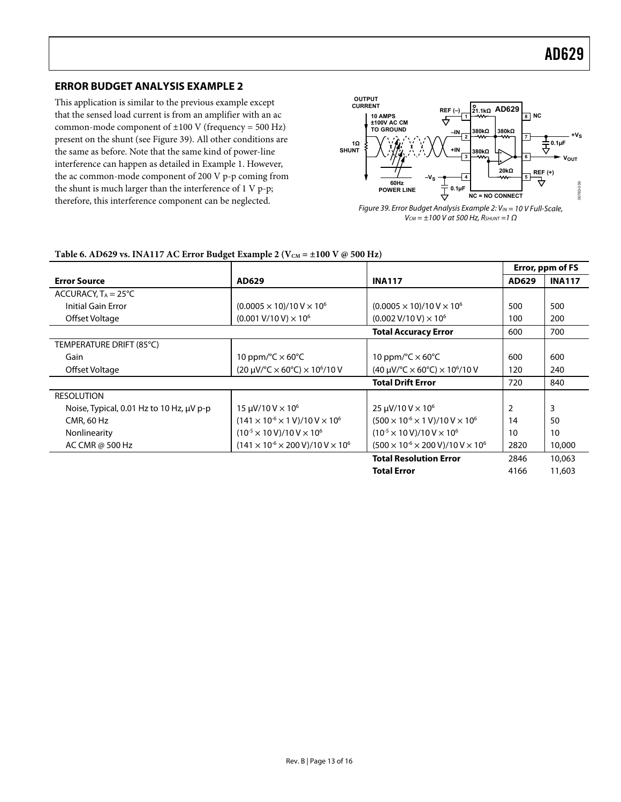#### <span id="page-12-0"></span>**ERROR BUDGET ANALYSIS EXAMPLE 2**

This application is similar to the previous example except that the sensed load current is from an amplifier with an ac common-mode component of  $\pm 100$  V (frequency = 500 Hz) present on the shunt (see [Figure 39](#page-12-1)). All other conditions are the same as before. Note that the same kind of power-line interference can happen as detailed in Example 1. However, the ac common-mode component of 200 V p-p coming from the shunt is much larger than the interference of 1 V p-p; therefore, this interference component can be neglected.



Figure 39. Error Budget Analysis Example 2:  $V_{IN}$  = 10 V Full-Scale,  $V_{CM} = \pm 100$  V at 500 Hz,  $R_{SHUNT} = 1 \Omega$ 

#### <span id="page-12-1"></span>Table 6. AD629 vs. INA117 AC Error Budget Example 2 ( $V_{CM} = \pm 100$  V  $\omega$  500 Hz)

|                                          |                                                                        |                                                                        | Error, ppm of FS |               |
|------------------------------------------|------------------------------------------------------------------------|------------------------------------------------------------------------|------------------|---------------|
| <b>Error Source</b>                      | AD629                                                                  | <b>INA117</b>                                                          | AD629            | <b>INA117</b> |
| ACCURACY, $T_A = 25^{\circ}C$            |                                                                        |                                                                        |                  |               |
| Initial Gain Error                       | $(0.0005 \times 10)/10$ V $\times$ 10 <sup>6</sup>                     | $(0.0005 \times 10)/10$ V $\times$ 10 <sup>6</sup>                     | 500              | 500           |
| Offset Voltage                           | $(0.001 V/10 V) \times 10^6$                                           | $(0.002 V/10 V) \times 10^6$                                           | 100              | 200           |
|                                          |                                                                        | <b>Total Accuracy Error</b>                                            | 600              | 700           |
| TEMPERATURE DRIFT (85°C)                 |                                                                        |                                                                        |                  |               |
| Gain                                     | 10 ppm/ $\degree$ C $\times$ 60 $\degree$ C                            | 10 ppm/ $\degree$ C $\times$ 60 $\degree$ C                            | 600              | 600           |
| Offset Voltage                           | $(20 \mu V)^{\circ}C \times 60^{\circ}C \times 10^{\circ}/10 V$        | $(40 \mu V)^{\circ}C \times 60^{\circ}C \times 10^{\circ}/10 V$        | 120              | 240           |
|                                          |                                                                        | <b>Total Drift Error</b>                                               | 720              | 840           |
| <b>RESOLUTION</b>                        |                                                                        |                                                                        |                  |               |
| Noise, Typical, 0.01 Hz to 10 Hz, µV p-p | $15 \mu V / 10 V \times 10^6$                                          | $25 \mu V / 10 V \times 10^6$                                          |                  | 3             |
| <b>CMR, 60 Hz</b>                        | $(141 \times 10^{-6} \times 1 \text{ V})/10 \text{ V} \times 10^{6}$   | $(500 \times 10^{-6} \times 1 \text{ V})/10 \text{ V} \times 10^{6}$   | 14               | 50            |
| Nonlinearity                             | $(10^{-5} \times 10 \text{ V})/10 \text{ V} \times 10^{6}$             | $(10^{-5} \times 10 \text{ V})/10 \text{ V} \times 10^{6}$             | 10               | 10            |
| AC CMR @ 500 Hz                          | $(141 \times 10^{-6} \times 200 \text{ V})/10 \text{ V} \times 10^{6}$ | $(500 \times 10^{-6} \times 200 \text{ V})/10 \text{ V} \times 10^{6}$ | 2820             | 10,000        |
|                                          |                                                                        | <b>Total Resolution Error</b>                                          | 2846             | 10,063        |
|                                          |                                                                        | <b>Total Error</b>                                                     | 4166             | 11,603        |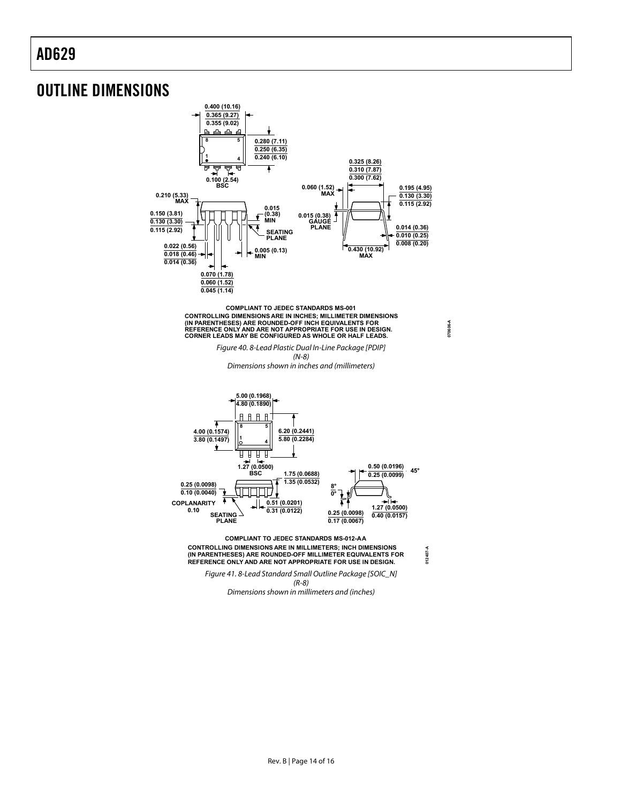### <span id="page-13-0"></span>OUTLINE DIMENSIONS



**070606-A**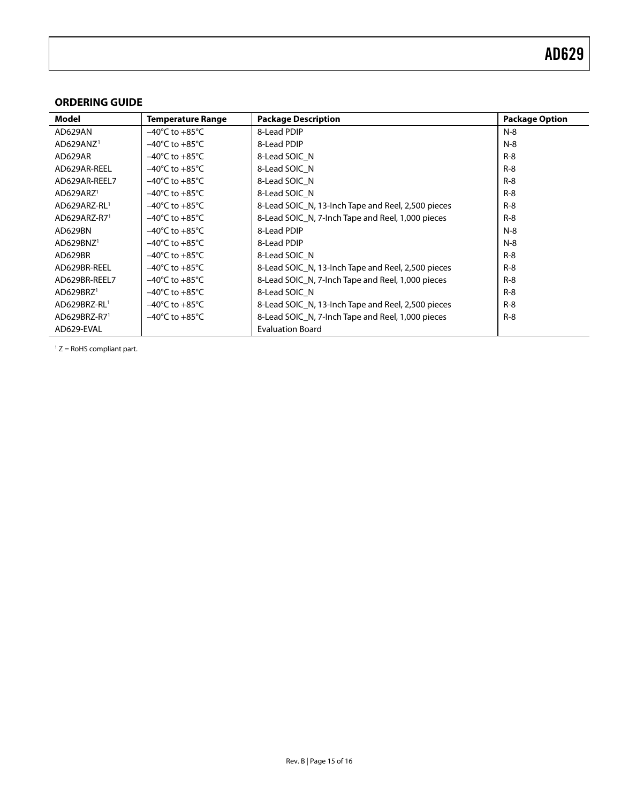#### <span id="page-14-0"></span>**ORDERING GUIDE**

<span id="page-14-1"></span>

| Model                      | <b>Temperature Range</b>           | <b>Package Description</b>                         | <b>Package Option</b> |
|----------------------------|------------------------------------|----------------------------------------------------|-----------------------|
| AD629AN                    | $-40^{\circ}$ C to $+85^{\circ}$ C | 8-Lead PDIP                                        | $N-8$                 |
| AD629ANZ <sup>1</sup>      | $-40^{\circ}$ C to $+85^{\circ}$ C | 8-Lead PDIP                                        | $N-8$                 |
| AD629AR                    | $-40^{\circ}$ C to $+85^{\circ}$ C | 8-Lead SOIC N                                      | $R - 8$               |
| AD629AR-REEL               | $-40^{\circ}$ C to $+85^{\circ}$ C | 8-Lead SOIC N                                      | $R - 8$               |
| AD629AR-REEL7              | $-40^{\circ}$ C to $+85^{\circ}$ C | 8-Lead SOIC N                                      | $R - 8$               |
| AD629ARZ <sup>1</sup>      | $-40^{\circ}$ C to $+85^{\circ}$ C | 8-Lead SOIC N                                      | $R-8$                 |
| AD629ARZ-RL1               | $-40^{\circ}$ C to $+85^{\circ}$ C | 8-Lead SOIC_N, 13-Inch Tape and Reel, 2,500 pieces | $R-8$                 |
| $AD629ARZ-R7$ <sup>1</sup> | $-40^{\circ}$ C to $+85^{\circ}$ C | 8-Lead SOIC_N, 7-Inch Tape and Reel, 1,000 pieces  | $R-8$                 |
| AD629BN                    | $-40^{\circ}$ C to $+85^{\circ}$ C | 8-Lead PDIP                                        | $N-8$                 |
| AD629BNZ <sup>1</sup>      | $-40^{\circ}$ C to $+85^{\circ}$ C | 8-Lead PDIP                                        | $N-8$                 |
| AD629BR                    | $-40^{\circ}$ C to $+85^{\circ}$ C | 8-Lead SOIC N                                      | $R - 8$               |
| AD629BR-REEL               | $-40^{\circ}$ C to $+85^{\circ}$ C | 8-Lead SOIC N, 13-Inch Tape and Reel, 2,500 pieces | $R - 8$               |
| AD629BR-REEL7              | $-40^{\circ}$ C to $+85^{\circ}$ C | 8-Lead SOIC_N, 7-Inch Tape and Reel, 1,000 pieces  | $R-8$                 |
| AD629BRZ <sup>1</sup>      | $-40^{\circ}$ C to $+85^{\circ}$ C | 8-Lead SOIC N                                      | $R-8$                 |
| AD629BRZ-RL1               | $-40^{\circ}$ C to $+85^{\circ}$ C | 8-Lead SOIC_N, 13-Inch Tape and Reel, 2,500 pieces | $R-8$                 |
| AD629BRZ-R71               | $-40^{\circ}$ C to $+85^{\circ}$ C | 8-Lead SOIC_N, 7-Inch Tape and Reel, 1,000 pieces  | $R-8$                 |
| AD629-EVAL                 |                                    | <b>Evaluation Board</b>                            |                       |

 $1 Z =$  RoHS compliant part.